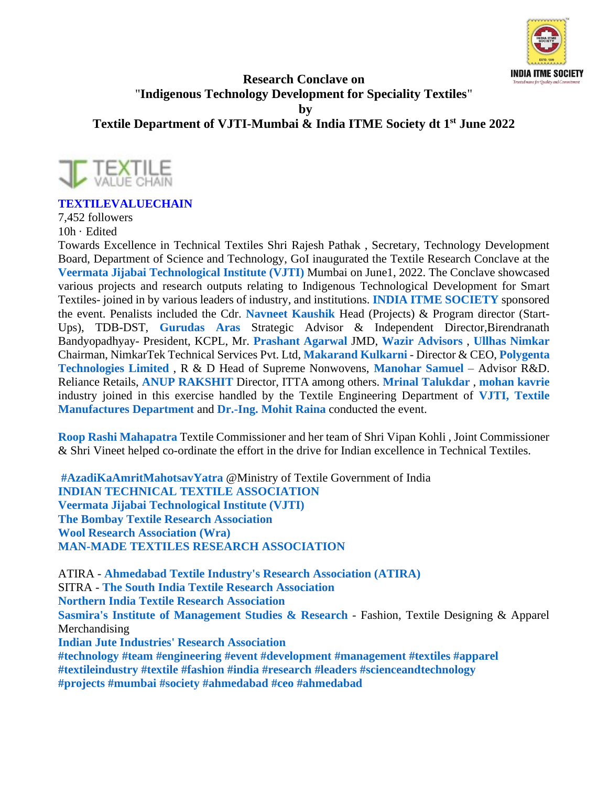

## **Research Conclave on** "**Indigenous Technology Development for Speciality Textiles**"

**by** 

**Textile Department of VJTI-Mumbai & India ITME Society dt 1 st June 2022**



## **[TEXTILEVALUECHAIN](https://www.linkedin.com/company/textilevaluechain?trk=public_post_share-update_actor-text)**

7,452 followers 10h · Edited

Towards Excellence in Technical Textiles Shri Rajesh Pathak , Secretary, Technology Development Board, Department of Science and Technology, GoI inaugurated the Textile Research Conclave at the **Veermata Jijabai [Technological](https://www.linkedin.com/company/veermata-jijabai-technological-institute?trk=public_post_share-update_update-text) Institute (VJTI)** Mumbai on June1, 2022. The Conclave showcased various projects and research outputs relating to Indigenous Technological Development for Smart Textiles- joined in by various leaders of industry, and institutions. **INDIA ITME [SOCIETY](https://in.linkedin.com/in/indiaitmesociety?trk=public_post_share-update_update-text)** sponsored the event. Penalists included the Cdr. **Navneet [Kaushik](https://in.linkedin.com/in/navneet-kaushik-98964b82?trk=public_post_share-update_update-text)** Head (Projects) & Program director (Start-Ups), TDB-DST, **[Gurudas](https://in.linkedin.com/in/gurudasaras?trk=public_post_share-update_update-text) Aras** Strategic Advisor & Independent Director,Birendranath Bandyopadhyay- President, KCPL, Mr. **[Prashant](https://in.linkedin.com/in/prashantag?trk=public_post_share-update_update-text) Agarwal** JMD, **Wazir [Advisors](https://www.linkedin.com/company/wazir-advisors?trk=public_post_share-update_update-text)** , **Ullhas [Nimkar](https://in.linkedin.com/in/ullhasnimkar?trk=public_post_share-update_update-text)** Chairman, NimkarTek Technical Services Pvt. Ltd, **[Makarand](https://in.linkedin.com/in/makarand-kulkarni-26252b9?trk=public_post_share-update_update-text) Kulkarni** - Director & CEO, **[Polygenta](https://www.linkedin.com/company/polygenta-technologies?trk=public_post_share-update_update-text) [Technologies](https://www.linkedin.com/company/polygenta-technologies?trk=public_post_share-update_update-text) Limited** , R & D Head of Supreme Nonwovens, **[Manohar](https://in.linkedin.com/in/manohar-samuel?trk=public_post_share-update_update-text) Samuel** – Advisor R&D. Reliance Retails, **ANUP [RAKSHIT](https://in.linkedin.com/in/anup-rakshit-2b832433?trk=public_post_share-update_update-text)** Director, ITTA among others. **Mrinal [Talukdar](https://in.linkedin.com/in/mrinal-talukdar-3784047?trk=public_post_share-update_update-text)** , **[mohan](https://in.linkedin.com/in/mohan-kavrie-06b59425?trk=public_post_share-update_update-text) kavrie** industry joined in this exercise handled by the Textile Engineering Department of **VJTI, [Textile](https://www.linkedin.com/company/textile-manufactures-department-vjti-mumbai?trk=public_post_share-update_update-text) [Manufactures](https://www.linkedin.com/company/textile-manufactures-department-vjti-mumbai?trk=public_post_share-update_update-text) Department** and **[Dr.-Ing.](https://in.linkedin.com/in/drmohitraina?trk=public_post_share-update_update-text) Mohit Raina** conducted the event.

**Roop Rashi [Mahapatra](https://in.linkedin.com/in/roop-rashi-mahapatra-89726132?trk=public_post_share-update_update-text)** Textile Commissioner and her team of Shri Vipan Kohli , Joint Commissioner & Shri Vineet helped co-ordinate the effort in the drive for Indian excellence in Technical Textiles.

**[#AzadiKaAmritMahotsavYatra](https://www.linkedin.com/signup/cold-join?session_redirect=https%3A%2F%2Fwww%2Elinkedin%2Ecom%2Ffeed%2Fhashtag%2Fazadikaamritmahotsavyatra&trk=public_post_share-update_update-text)** @Ministry of Textile Government of India **INDIAN TECHNICAL TEXTILE [ASSOCIATION](https://www.linkedin.com/company/indian-technical-textile-association?trk=public_post_share-update_update-text) Veermata Jijabai [Technological](https://www.linkedin.com/company/veermata-jijabai-technological-institute?trk=public_post_share-update_update-text) Institute (VJTI) The Bombay Textile Research [Association](https://www.linkedin.com/company/the-bombay-textile-research-association?trk=public_post_share-update_update-text) Wool Research [Association](https://www.linkedin.com/company/wool-research-association-wra-?trk=public_post_share-update_update-text) (Wra) MAN-MADE TEXTILES RESEARCH [ASSOCIATION](https://in.linkedin.com/in/man-made-textiles-research-association-38563bab?trk=public_post_share-update_update-text)**

ATIRA - **[Ahmedabad](https://www.linkedin.com/company/ahmedabad-textile-industry-s-research-association-atira?trk=public_post_share-update_update-text) Textile Industry's Research Association (ATIRA)** SITRA - **The South India Textile Research [Association](https://www.linkedin.com/company/sitracoimbatore?trk=public_post_share-update_update-text) Northern India Textile Research [Association](https://www.linkedin.com/company/northern-india-textile-research-association?trk=public_post_share-update_update-text) Sasmira's Institute of [Management](https://www.linkedin.com/company/sasmira-institute-of-management-studies-&-research?trk=public_post_share-update_update-text) Studies & Research** - Fashion, Textile Designing & Apparel Merchandising **Indian Jute Industries' Research [Association](https://www.linkedin.com/company/indian-jute-industries%27-research-association?trk=public_post_share-update_update-text) [#technology](https://www.linkedin.com/signup/cold-join?session_redirect=https%3A%2F%2Fwww%2Elinkedin%2Ecom%2Ffeed%2Fhashtag%2Ftechnology&trk=public_post_share-update_update-text) [#team](https://www.linkedin.com/signup/cold-join?session_redirect=https%3A%2F%2Fwww%2Elinkedin%2Ecom%2Ffeed%2Fhashtag%2Fteam&trk=public_post_share-update_update-text) [#engineering](https://www.linkedin.com/signup/cold-join?session_redirect=https%3A%2F%2Fwww%2Elinkedin%2Ecom%2Ffeed%2Fhashtag%2Fengineering&trk=public_post_share-update_update-text) [#event](https://www.linkedin.com/signup/cold-join?session_redirect=https%3A%2F%2Fwww%2Elinkedin%2Ecom%2Ffeed%2Fhashtag%2Fevent&trk=public_post_share-update_update-text) [#development](https://www.linkedin.com/signup/cold-join?session_redirect=https%3A%2F%2Fwww%2Elinkedin%2Ecom%2Ffeed%2Fhashtag%2Fdevelopment&trk=public_post_share-update_update-text) [#management](https://www.linkedin.com/signup/cold-join?session_redirect=https%3A%2F%2Fwww%2Elinkedin%2Ecom%2Ffeed%2Fhashtag%2Fmanagement&trk=public_post_share-update_update-text) [#textiles](https://www.linkedin.com/signup/cold-join?session_redirect=https%3A%2F%2Fwww%2Elinkedin%2Ecom%2Ffeed%2Fhashtag%2Ftextiles&trk=public_post_share-update_update-text) [#apparel](https://www.linkedin.com/signup/cold-join?session_redirect=https%3A%2F%2Fwww%2Elinkedin%2Ecom%2Ffeed%2Fhashtag%2Fapparel&trk=public_post_share-update_update-text) [#textileindustry](https://www.linkedin.com/signup/cold-join?session_redirect=https%3A%2F%2Fwww%2Elinkedin%2Ecom%2Ffeed%2Fhashtag%2Ftextileindustry&trk=public_post_share-update_update-text) [#textile](https://www.linkedin.com/signup/cold-join?session_redirect=https%3A%2F%2Fwww%2Elinkedin%2Ecom%2Ffeed%2Fhashtag%2Ftextile&trk=public_post_share-update_update-text) [#fashion](https://www.linkedin.com/signup/cold-join?session_redirect=https%3A%2F%2Fwww%2Elinkedin%2Ecom%2Ffeed%2Fhashtag%2Ffashion&trk=public_post_share-update_update-text) [#india](https://www.linkedin.com/signup/cold-join?session_redirect=https%3A%2F%2Fwww%2Elinkedin%2Ecom%2Ffeed%2Fhashtag%2Findia&trk=public_post_share-update_update-text) [#research](https://www.linkedin.com/signup/cold-join?session_redirect=https%3A%2F%2Fwww%2Elinkedin%2Ecom%2Ffeed%2Fhashtag%2Fresearch&trk=public_post_share-update_update-text) [#leaders](https://www.linkedin.com/signup/cold-join?session_redirect=https%3A%2F%2Fwww%2Elinkedin%2Ecom%2Ffeed%2Fhashtag%2Fleaders&trk=public_post_share-update_update-text) [#scienceandtechnology](https://www.linkedin.com/signup/cold-join?session_redirect=https%3A%2F%2Fwww%2Elinkedin%2Ecom%2Ffeed%2Fhashtag%2Fscienceandtechnology&trk=public_post_share-update_update-text) [#projects](https://www.linkedin.com/signup/cold-join?session_redirect=https%3A%2F%2Fwww%2Elinkedin%2Ecom%2Ffeed%2Fhashtag%2Fprojects&trk=public_post_share-update_update-text) [#mumbai](https://www.linkedin.com/signup/cold-join?session_redirect=https%3A%2F%2Fwww%2Elinkedin%2Ecom%2Ffeed%2Fhashtag%2Fmumbai&trk=public_post_share-update_update-text) [#society](https://www.linkedin.com/signup/cold-join?session_redirect=https%3A%2F%2Fwww%2Elinkedin%2Ecom%2Ffeed%2Fhashtag%2Fsociety&trk=public_post_share-update_update-text) [#ahmedabad](https://www.linkedin.com/signup/cold-join?session_redirect=https%3A%2F%2Fwww%2Elinkedin%2Ecom%2Ffeed%2Fhashtag%2Fahmedabad&trk=public_post_share-update_update-text) [#ceo](https://www.linkedin.com/signup/cold-join?session_redirect=https%3A%2F%2Fwww%2Elinkedin%2Ecom%2Ffeed%2Fhashtag%2Fceo&trk=public_post_share-update_update-text) [#ahmedabad](https://www.linkedin.com/signup/cold-join?session_redirect=https%3A%2F%2Fwww%2Elinkedin%2Ecom%2Ffeed%2Fhashtag%2Fahmedabad&trk=public_post_share-update_update-text)**